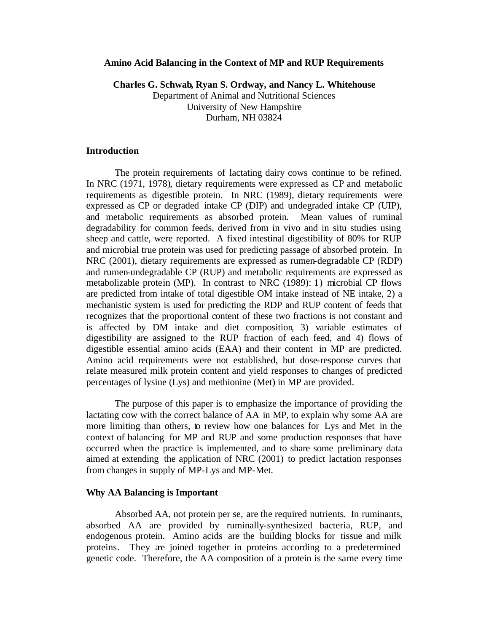### **Amino Acid Balancing in the Context of MP and RUP Requirements**

**Charles G. Schwab, Ryan S. Ordway, and Nancy L. Whitehouse** Department of Animal and Nutritional Sciences University of New Hampshire Durham, NH 03824

#### **Introduction**

The protein requirements of lactating dairy cows continue to be refined. In NRC (1971, 1978), dietary requirements were expressed as CP and metabolic requirements as digestible protein. In NRC (1989), dietary requirements were expressed as CP or degraded intake CP (DIP) and undegraded intake CP (UIP), and metabolic requirements as absorbed protein. Mean values of ruminal degradability for common feeds, derived from in vivo and in situ studies using sheep and cattle, were reported. A fixed intestinal digestibility of 80% for RUP and microbial true protein was used for predicting passage of absorbed protein. In NRC (2001), dietary requirements are expressed as rumen-degradable CP (RDP) and rumen-undegradable CP (RUP) and metabolic requirements are expressed as metabolizable protein (MP). In contrast to NRC (1989): 1) microbial CP flows are predicted from intake of total digestible OM intake instead of NE intake, 2) a mechanistic system is used for predicting the RDP and RUP content of feeds that recognizes that the proportional content of these two fractions is not constant and is affected by DM intake and diet composition, 3) variable estimates of digestibility are assigned to the RUP fraction of each feed, and 4) flows of digestible essential amino acids (EAA) and their content in MP are predicted. Amino acid requirements were not established, but dose-response curves that relate measured milk protein content and yield responses to changes of predicted percentages of lysine (Lys) and methionine (Met) in MP are provided.

The purpose of this paper is to emphasize the importance of providing the lactating cow with the correct balance of AA in MP, to explain why some AA are more limiting than others, to review how one balances for Lys and Met in the context of balancing for MP and RUP and some production responses that have occurred when the practice is implemented, and to share some preliminary data aimed at extending the application of NRC (2001) to predict lactation responses from changes in supply of MP-Lys and MP-Met.

#### **Why AA Balancing is Important**

Absorbed AA, not protein per se, are the required nutrients. In ruminants, absorbed AA are provided by ruminally-synthesized bacteria, RUP, and endogenous protein. Amino acids are the building blocks for tissue and milk proteins. They are joined together in proteins according to a predetermined genetic code. Therefore, the AA composition of a protein is the same every time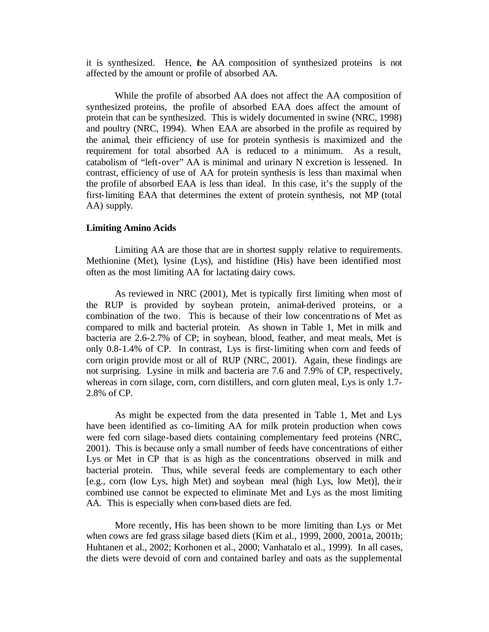it is synthesized. Hence, the AA composition of synthesized proteins is not affected by the amount or profile of absorbed AA.

While the profile of absorbed AA does not affect the AA composition of synthesized proteins, the profile of absorbed EAA does affect the amount of protein that can be synthesized. This is widely documented in swine (NRC, 1998) and poultry (NRC, 1994). When EAA are absorbed in the profile as required by the animal, their efficiency of use for protein synthesis is maximized and the requirement for total absorbed AA is reduced to a minimum. As a result, catabolism of "left-over" AA is minimal and urinary N excretion is lessened. In contrast, efficiency of use of AA for protein synthesis is less than maximal when the profile of absorbed EAA is less than ideal. In this case, it's the supply of the first-limiting EAA that determines the extent of protein synthesis, not MP (total AA) supply.

## **Limiting Amino Acids**

Limiting AA are those that are in shortest supply relative to requirements. Methionine (Met), lysine (Lys), and histidine (His) have been identified most often as the most limiting AA for lactating dairy cows.

As reviewed in NRC (2001), Met is typically first limiting when most of the RUP is provided by soybean protein, animal-derived proteins, or a combination of the two. This is because of their low concentrations of Met as compared to milk and bacterial protein. As shown in Table 1, Met in milk and bacteria are 2.6-2.7% of CP; in soybean, blood, feather, and meat meals, Met is only 0.8-1.4% of CP. In contrast, Lys is first-limiting when corn and feeds of corn origin provide most or all of RUP (NRC, 2001). Again, these findings are not surprising. Lysine in milk and bacteria are 7.6 and 7.9% of CP, respectively, whereas in corn silage, corn, corn distillers, and corn gluten meal, Lys is only 1.7- 2.8% of CP.

As might be expected from the data presented in Table 1, Met and Lys have been identified as co-limiting AA for milk protein production when cows were fed corn silage-based diets containing complementary feed proteins (NRC, 2001). This is because only a small number of feeds have concentrations of either Lys or Met in CP that is as high as the concentrations observed in milk and bacterial protein. Thus, while several feeds are complementary to each other [e.g., corn (low Lys, high Met) and soybean meal (high Lys, low Met)], their combined use cannot be expected to eliminate Met and Lys as the most limiting AA. This is especially when corn-based diets are fed.

More recently, His has been shown to be more limiting than Lys or Met when cows are fed grass silage based diets (Kim et al., 1999, 2000, 2001a, 2001b; Huhtanen et al., 2002; Korhonen et al., 2000; Vanhatalo et al., 1999). In all cases, the diets were devoid of corn and contained barley and oats as the supplemental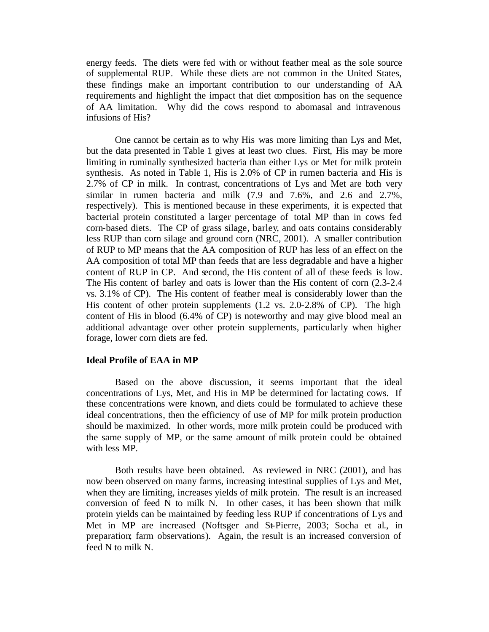energy feeds. The diets were fed with or without feather meal as the sole source of supplemental RUP. While these diets are not common in the United States, these findings make an important contribution to our understanding of AA requirements and highlight the impact that diet composition has on the sequence of AA limitation. Why did the cows respond to abomasal and intravenous infusions of His?

One cannot be certain as to why His was more limiting than Lys and Met, but the data presented in Table 1 gives at least two clues. First, His may be more limiting in ruminally synthesized bacteria than either Lys or Met for milk protein synthesis. As noted in Table 1, His is 2.0% of CP in rumen bacteria and His is 2.7% of CP in milk. In contrast, concentrations of Lys and Met are both very similar in rumen bacteria and milk (7.9 and 7.6%, and 2.6 and 2.7%, respectively). This is mentioned because in these experiments, it is expected that bacterial protein constituted a larger percentage of total MP than in cows fed corn-based diets. The CP of grass silage, barley, and oats contains considerably less RUP than corn silage and ground corn (NRC, 2001). A smaller contribution of RUP to MP means that the AA composition of RUP has less of an effect on the AA composition of total MP than feeds that are less degradable and have a higher content of RUP in CP. And second, the His content of all of these feeds is low. The His content of barley and oats is lower than the His content of corn (2.3-2.4 vs. 3.1% of CP). The His content of feather meal is considerably lower than the His content of other protein supplements (1.2 vs. 2.0-2.8% of CP). The high content of His in blood (6.4% of CP) is noteworthy and may give blood meal an additional advantage over other protein supplements, particularly when higher forage, lower corn diets are fed.

## **Ideal Profile of EAA in MP**

Based on the above discussion, it seems important that the ideal concentrations of Lys, Met, and His in MP be determined for lactating cows. If these concentrations were known, and diets could be formulated to achieve these ideal concentrations, then the efficiency of use of MP for milk protein production should be maximized. In other words, more milk protein could be produced with the same supply of MP, or the same amount of milk protein could be obtained with less MP.

Both results have been obtained. As reviewed in NRC (2001), and has now been observed on many farms, increasing intestinal supplies of Lys and Met, when they are limiting, increases yields of milk protein. The result is an increased conversion of feed N to milk N. In other cases, it has been shown that milk protein yields can be maintained by feeding less RUP if concentrations of Lys and Met in MP are increased (Noftsger and St-Pierre, 2003; Socha et al., in preparation; farm observations). Again, the result is an increased conversion of feed N to milk N.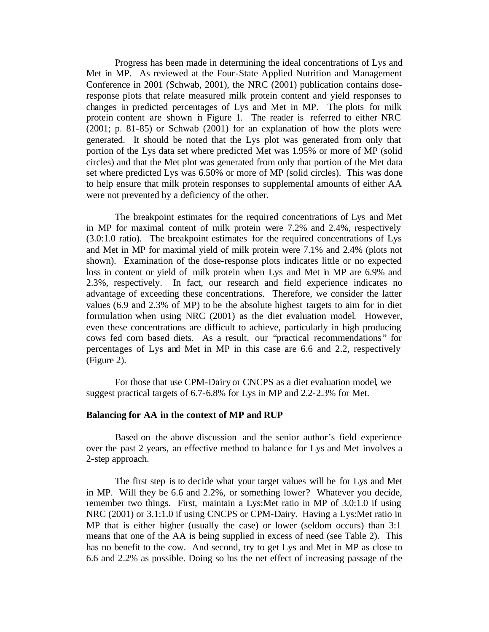Progress has been made in determining the ideal concentrations of Lys and Met in MP. As reviewed at the Four-State Applied Nutrition and Management Conference in 2001 (Schwab, 2001), the NRC (2001) publication contains doseresponse plots that relate measured milk protein content and yield responses to changes in predicted percentages of Lys and Met in MP.The plots for milk protein content are shown in Figure 1. The reader is referred to either NRC (2001; p. 81-85) or Schwab (2001) for an explanation of how the plots were generated. It should be noted that the Lys plot was generated from only that portion of the Lys data set where predicted Met was 1.95% or more of MP (solid circles) and that the Met plot was generated from only that portion of the Met data set where predicted Lys was 6.50% or more of MP (solid circles). This was done to help ensure that milk protein responses to supplemental amounts of either AA were not prevented by a deficiency of the other.

The breakpoint estimates for the required concentrations of Lys and Met in MP for maximal content of milk protein were 7.2% and 2.4%, respectively (3.0:1.0 ratio). The breakpoint estimates for the required concentrations of Lys and Met in MP for maximal yield of milk protein were 7.1% and 2.4% (plots not shown). Examination of the dose-response plots indicates little or no expected loss in content or yield of milk protein when Lys and Met in MP are 6.9% and 2.3%, respectively. In fact, our research and field experience indicates no advantage of exceeding these concentrations. Therefore, we consider the latter values (6.9 and 2.3% of MP) to be the absolute highest targets to aim for in diet formulation when using NRC (2001) as the diet evaluation model. However, even these concentrations are difficult to achieve, particularly in high producing cows fed corn based diets. As a result, our "practical recommendations " for percentages of Lys and Met in MP in this case are 6.6 and 2.2, respectively (Figure 2).

For those that use CPM-Dairy or CNCPS as a diet evaluation model, we suggest practical targets of 6.7-6.8% for Lys in MP and 2.2-2.3% for Met.

#### **Balancing for AA in the context of MP and RUP**

Based on the above discussion and the senior author's field experience over the past 2 years, an effective method to balance for Lys and Met involves a 2-step approach.

The first step is to decide what your target values will be for Lys and Met in MP. Will they be 6.6 and 2.2%, or something lower? Whatever you decide, remember two things. First, maintain a Lys:Met ratio in MP of 3.0:1.0 if using NRC (2001) or 3.1:1.0 if using CNCPS or CPM-Dairy. Having a Lys:Met ratio in MP that is either higher (usually the case) or lower (seldom occurs) than 3:1 means that one of the AA is being supplied in excess of need (see Table 2). This has no benefit to the cow. And second, try to get Lys and Met in MP as close to 6.6 and 2.2% as possible. Doing so has the net effect of increasing passage of the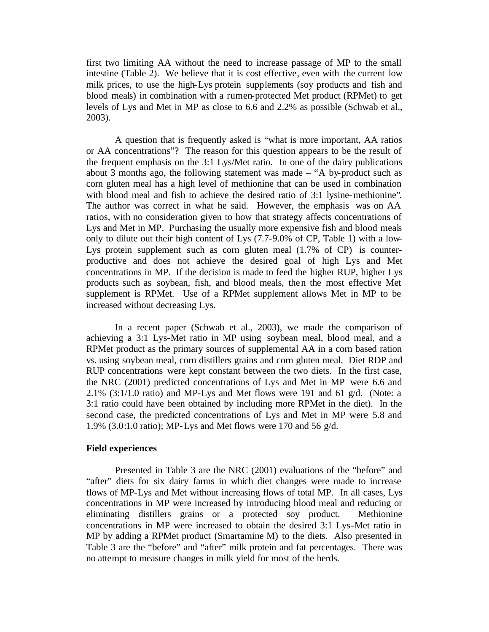first two limiting AA without the need to increase passage of MP to the small intestine (Table 2). We believe that it is cost effective, even with the current low milk prices, to use the high-Lys protein supplements (soy products and fish and blood meals) in combination with a rumen-protected Met product (RPMet) to get levels of Lys and Met in MP as close to 6.6 and 2.2% as possible (Schwab et al., 2003).

A question that is frequently asked is "what is more important, AA ratios or AA concentrations"? The reason for this question appears to be the result of the frequent emphasis on the 3:1 Lys/Met ratio. In one of the dairy publications about 3 months ago, the following statement was made  $-$  "A by-product such as corn gluten meal has a high level of methionine that can be used in combination with blood meal and fish to achieve the desired ratio of 3:1 lysine-methionine". The author was correct in what he said. However, the emphasis was on AA ratios, with no consideration given to how that strategy affects concentrations of Lys and Met in MP. Purchasing the usually more expensive fish and blood meals only to dilute out their high content of Lys (7.7-9.0% of CP, Table 1) with a low-Lys protein supplement such as corn gluten meal (1.7% of CP) is counterproductive and does not achieve the desired goal of high Lys and Met concentrations in MP. If the decision is made to feed the higher RUP, higher Lys products such as soybean, fish, and blood meals, then the most effective Met supplement is RPMet. Use of a RPMet supplement allows Met in MP to be increased without decreasing Lys.

In a recent paper (Schwab et al., 2003), we made the comparison of achieving a 3:1 Lys-Met ratio in MP using soybean meal, blood meal, and a RPMet product as the primary sources of supplemental AA in a corn based ration vs. using soybean meal, corn distillers grains and corn gluten meal. Diet RDP and RUP concentrations were kept constant between the two diets. In the first case, the NRC (2001) predicted concentrations of Lys and Met in MP were 6.6 and 2.1% (3:1/1.0 ratio) and MP-Lys and Met flows were 191 and 61  $g/d$ . (Note: a 3:1 ratio could have been obtained by including more RPMet in the diet). In the second case, the predicted concentrations of Lys and Met in MP were 5.8 and 1.9% (3.0:1.0 ratio); MP-Lys and Met flows were 170 and 56 g/d.

## **Field experiences**

Presented in Table 3 are the NRC (2001) evaluations of the "before" and "after" diets for six dairy farms in which diet changes were made to increase flows of MP-Lys and Met without increasing flows of total MP. In all cases, Lys concentrations in MP were increased by introducing blood meal and reducing or eliminating distillers grains or a protected soy product. Methionine concentrations in MP were increased to obtain the desired 3:1 Lys-Met ratio in MP by adding a RPMet product (Smartamine M) to the diets. Also presented in Table 3 are the "before" and "after" milk protein and fat percentages. There was no attempt to measure changes in milk yield for most of the herds.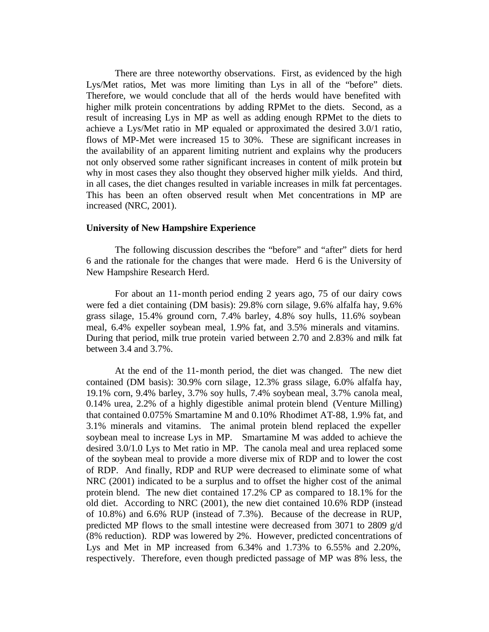There are three noteworthy observations. First, as evidenced by the high Lys/Met ratios, Met was more limiting than Lys in all of the "before" diets. Therefore, we would conclude that all of the herds would have benefited with higher milk protein concentrations by adding RPMet to the diets. Second, as a result of increasing Lys in MP as well as adding enough RPMet to the diets to achieve a Lys/Met ratio in MP equaled or approximated the desired 3.0/1 ratio, flows of MP-Met were increased 15 to 30%. These are significant increases in the availability of an apparent limiting nutrient and explains why the producers not only observed some rather significant increases in content of milk protein but why in most cases they also thought they observed higher milk yields. And third, in all cases, the diet changes resulted in variable increases in milk fat percentages. This has been an often observed result when Met concentrations in MP are increased (NRC, 2001).

#### **University of New Hampshire Experience**

The following discussion describes the "before" and "after" diets for herd 6 and the rationale for the changes that were made. Herd 6 is the University of New Hampshire Research Herd.

For about an 11-month period ending 2 years ago, 75 of our dairy cows were fed a diet containing (DM basis): 29.8% corn silage, 9.6% alfalfa hay, 9.6% grass silage, 15.4% ground corn, 7.4% barley, 4.8% soy hulls, 11.6% soybean meal, 6.4% expeller soybean meal, 1.9% fat, and 3.5% minerals and vitamins. During that period, milk true protein varied between 2.70 and 2.83% and milk fat between 3.4 and 3.7%.

At the end of the 11-month period, the diet was changed. The new diet contained (DM basis): 30.9% corn silage, 12.3% grass silage, 6.0% alfalfa hay, 19.1% corn, 9.4% barley, 3.7% soy hulls, 7.4% soybean meal, 3.7% canola meal, 0.14% urea, 2.2% of a highly digestible animal protein blend (Venture Milling) that contained 0.075% Smartamine M and 0.10% Rhodimet AT-88, 1.9% fat, and 3.1% minerals and vitamins. The animal protein blend replaced the expeller soybean meal to increase Lys in MP. Smartamine M was added to achieve the desired 3.0/1.0 Lys to Met ratio in MP. The canola meal and urea replaced some of the soybean meal to provide a more diverse mix of RDP and to lower the cost of RDP. And finally, RDP and RUP were decreased to eliminate some of what NRC (2001) indicated to be a surplus and to offset the higher cost of the animal protein blend. The new diet contained 17.2% CP as compared to 18.1% for the old diet. According to NRC (2001), the new diet contained 10.6% RDP (instead of 10.8%) and 6.6% RUP (instead of 7.3%). Because of the decrease in RUP, predicted MP flows to the small intestine were decreased from 3071 to 2809  $g/d$ (8% reduction). RDP was lowered by 2%. However, predicted concentrations of Lys and Met in MP increased from 6.34% and 1.73% to 6.55% and 2.20%, respectively. Therefore, even though predicted passage of MP was 8% less, the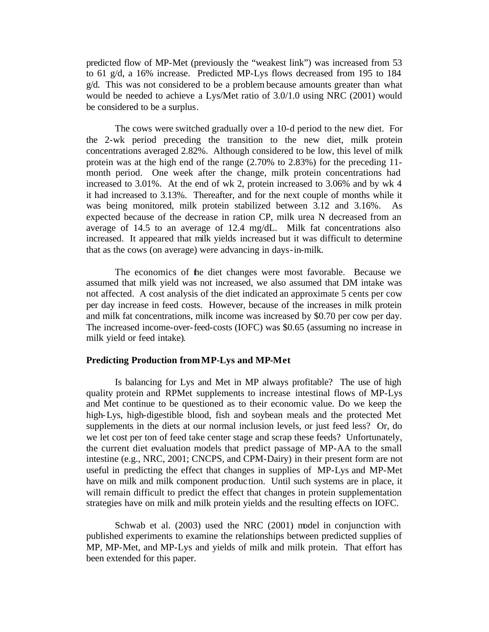predicted flow of MP-Met (previously the "weakest link") was increased from 53 to 61 g/d, a 16% increase. Predicted MP-Lys flows decreased from 195 to 184 g/d. This was not considered to be a problem because amounts greater than what would be needed to achieve a Lys/Met ratio of 3.0/1.0 using NRC (2001) would be considered to be a surplus.

The cows were switched gradually over a 10-d period to the new diet. For the 2-wk period preceding the transition to the new diet, milk protein concentrations averaged 2.82%. Although considered to be low, this level of milk protein was at the high end of the range (2.70% to 2.83%) for the preceding 11 month period. One week after the change, milk protein concentrations had increased to 3.01%. At the end of wk 2, protein increased to 3.06% and by wk 4 it had increased to 3.13%. Thereafter, and for the next couple of months while it was being monitored, milk protein stabilized between 3.12 and 3.16%. As expected because of the decrease in ration CP, milk urea N decreased from an average of 14.5 to an average of 12.4 mg/dL. Milk fat concentrations also increased. It appeared that milk yields increased but it was difficult to determine that as the cows (on average) were advancing in days-in-milk.

The economics of the diet changes were most favorable. Because we assumed that milk yield was not increased, we also assumed that DM intake was not affected. A cost analysis of the diet indicated an approximate 5 cents per cow per day increase in feed costs. However, because of the increases in milk protein and milk fat concentrations, milk income was increased by \$0.70 per cow per day. The increased income-over-feed-costs (IOFC) was \$0.65 (assuming no increase in milk yield or feed intake).

### **Predicting Production from MP-Lys and MP-Met**

Is balancing for Lys and Met in MP always profitable? The use of high quality protein and RPMet supplements to increase intestinal flows of MP-Lys and Met continue to be questioned as to their economic value. Do we keep the high-Lys, high-digestible blood, fish and soybean meals and the protected Met supplements in the diets at our normal inclusion levels, or just feed less? Or, do we let cost per ton of feed take center stage and scrap these feeds? Unfortunately, the current diet evaluation models that predict passage of MP-AA to the small intestine (e.g., NRC, 2001; CNCPS, and CPM-Dairy) in their present form are not useful in predicting the effect that changes in supplies of MP-Lys and MP-Met have on milk and milk component produc tion. Until such systems are in place, it will remain difficult to predict the effect that changes in protein supplementation strategies have on milk and milk protein yields and the resulting effects on IOFC.

Schwab et al. (2003) used the NRC (2001) model in conjunction with published experiments to examine the relationships between predicted supplies of MP, MP-Met, and MP-Lys and yields of milk and milk protein. That effort has been extended for this paper.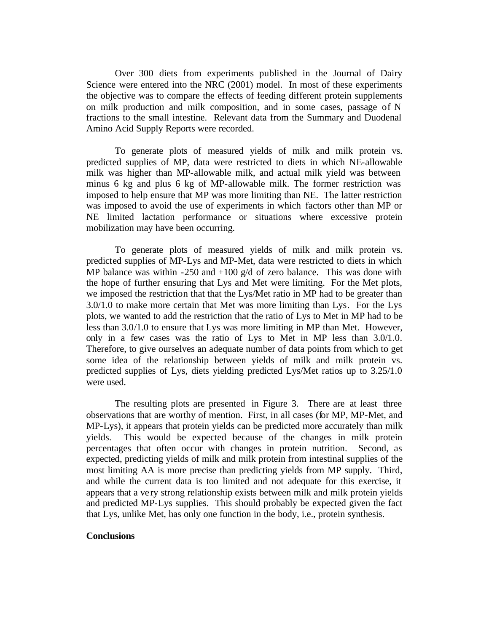Over 300 diets from experiments published in the Journal of Dairy Science were entered into the NRC (2001) model. In most of these experiments the objective was to compare the effects of feeding different protein supplements on milk production and milk composition, and in some cases, passage of N fractions to the small intestine. Relevant data from the Summary and Duodenal Amino Acid Supply Reports were recorded.

To generate plots of measured yields of milk and milk protein vs. predicted supplies of MP, data were restricted to diets in which NE-allowable milk was higher than MP-allowable milk, and actual milk yield was between minus 6 kg and plus 6 kg of MP-allowable milk. The former restriction was imposed to help ensure that MP was more limiting than NE. The latter restriction was imposed to avoid the use of experiments in which factors other than MP or NE limited lactation performance or situations where excessive protein mobilization may have been occurring.

To generate plots of measured yields of milk and milk protein vs. predicted supplies of MP-Lys and MP-Met, data were restricted to diets in which MP balance was within  $-250$  and  $+100$  g/d of zero balance. This was done with the hope of further ensuring that Lys and Met were limiting. For the Met plots, we imposed the restriction that that the Lys/Met ratio in MP had to be greater than 3.0/1.0 to make more certain that Met was more limiting than Lys. For the Lys plots, we wanted to add the restriction that the ratio of Lys to Met in MP had to be less than 3.0/1.0 to ensure that Lys was more limiting in MP than Met. However, only in a few cases was the ratio of Lys to Met in MP less than 3.0/1.0. Therefore, to give ourselves an adequate number of data points from which to get some idea of the relationship between yields of milk and milk protein vs. predicted supplies of Lys, diets yielding predicted Lys/Met ratios up to 3.25/1.0 were used.

The resulting plots are presented in Figure 3. There are at least three observations that are worthy of mention. First, in all cases (for MP, MP-Met, and MP-Lys), it appears that protein yields can be predicted more accurately than milk yields. This would be expected because of the changes in milk protein percentages that often occur with changes in protein nutrition. Second, as expected, predicting yields of milk and milk protein from intestinal supplies of the most limiting AA is more precise than predicting yields from MP supply. Third, and while the current data is too limited and not adequate for this exercise, it appears that a ve ry strong relationship exists between milk and milk protein yields and predicted MP-Lys supplies. This should probably be expected given the fact that Lys, unlike Met, has only one function in the body, i.e., protein synthesis.

### **Conclusions**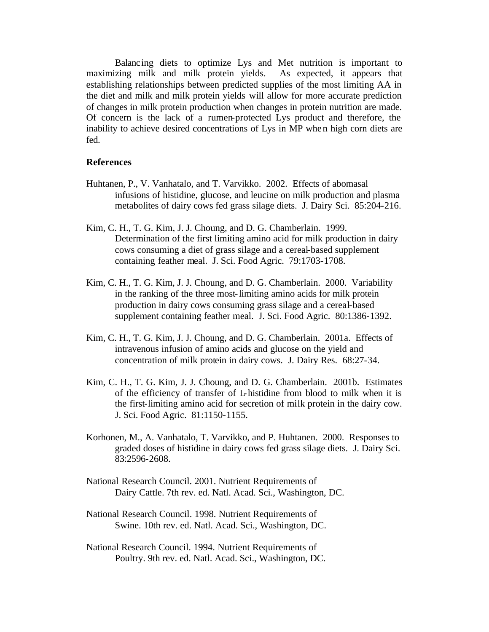Balancing diets to optimize Lys and Met nutrition is important to maximizing milk and milk protein yields. As expected, it appears that establishing relationships between predicted supplies of the most limiting AA in the diet and milk and milk protein yields will allow for more accurate prediction of changes in milk protein production when changes in protein nutrition are made. Of concern is the lack of a rumen-protected Lys product and therefore, the inability to achieve desired concentrations of Lys in MP when high corn diets are fed.

# **References**

- Huhtanen, P., V. Vanhatalo, and T. Varvikko. 2002. Effects of abomasal infusions of histidine, glucose, and leucine on milk production and plasma metabolites of dairy cows fed grass silage diets. J. Dairy Sci. 85:204-216.
- Kim, C. H., T. G. Kim, J. J. Choung, and D. G. Chamberlain. 1999. Determination of the first limiting amino acid for milk production in dairy cows consuming a diet of grass silage and a cereal-based supplement containing feather meal. J. Sci. Food Agric. 79:1703-1708.
- Kim, C. H., T. G. Kim, J. J. Choung, and D. G. Chamberlain. 2000. Variability in the ranking of the three most-limiting amino acids for milk protein production in dairy cows consuming grass silage and a cereal-based supplement containing feather meal. J. Sci. Food Agric. 80:1386-1392.
- Kim, C. H., T. G. Kim, J. J. Choung, and D. G. Chamberlain. 2001a. Effects of intravenous infusion of amino acids and glucose on the yield and concentration of milk protein in dairy cows. J. Dairy Res. 68:27-34.
- Kim, C. H., T. G. Kim, J. J. Choung, and D. G. Chamberlain. 2001b. Estimates of the efficiency of transfer of L-histidine from blood to milk when it is the first-limiting amino acid for secretion of milk protein in the dairy cow. J. Sci. Food Agric. 81:1150-1155.
- Korhonen, M., A. Vanhatalo, T. Varvikko, and P. Huhtanen. 2000. Responses to graded doses of histidine in dairy cows fed grass silage diets. J. Dairy Sci. 83:2596-2608.
- National Research Council. 2001. Nutrient Requirements of Dairy Cattle. 7th rev. ed. Natl. Acad. Sci., Washington, DC.
- National Research Council. 1998. Nutrient Requirements of Swine. 10th rev. ed. Natl. Acad. Sci., Washington, DC.
- National Research Council. 1994. Nutrient Requirements of Poultry. 9th rev. ed. Natl. Acad. Sci., Washington, DC.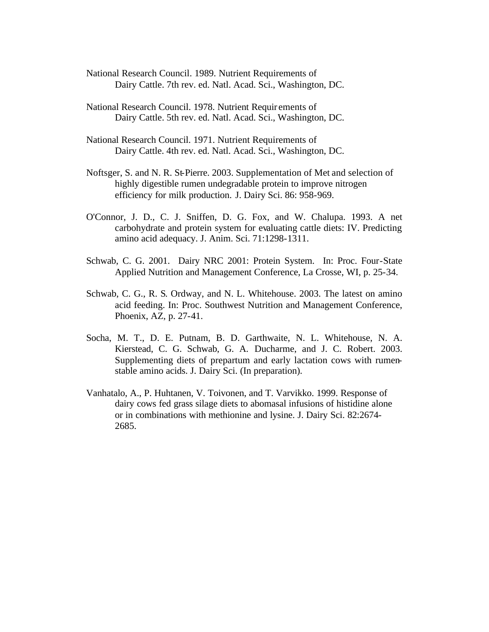- National Research Council. 1989. Nutrient Requirements of Dairy Cattle. 7th rev. ed. Natl. Acad. Sci., Washington, DC.
- National Research Council. 1978. Nutrient Requir ements of Dairy Cattle. 5th rev. ed. Natl. Acad. Sci., Washington, DC.
- National Research Council. 1971. Nutrient Requirements of Dairy Cattle. 4th rev. ed. Natl. Acad. Sci., Washington, DC.
- Noftsger, S. and N. R. St-Pierre. 2003. Supplementation of Met and selection of highly digestible rumen undegradable protein to improve nitrogen efficiency for milk production. J. Dairy Sci. 86: 958-969.
- O'Connor, J. D., C. J. Sniffen, D. G. Fox, and W. Chalupa. 1993. A net carbohydrate and protein system for evaluating cattle diets: IV. Predicting amino acid adequacy. J. Anim. Sci. 71:1298-1311.
- Schwab, C. G. 2001. Dairy NRC 2001: Protein System. In: Proc. Four-State Applied Nutrition and Management Conference, La Crosse, WI, p. 25-34.
- Schwab, C. G., R. S. Ordway, and N. L. Whitehouse. 2003. The latest on amino acid feeding. In: Proc. Southwest Nutrition and Management Conference, Phoenix, AZ, p. 27-41.
- Socha, M. T., D. E. Putnam, B. D. Garthwaite, N. L. Whitehouse, N. A. Kierstead, C. G. Schwab, G. A. Ducharme, and J. C. Robert. 2003. Supplementing diets of prepartum and early lactation cows with rumenstable amino acids. J. Dairy Sci. (In preparation).
- Vanhatalo, A., P. Huhtanen, V. Toivonen, and T. Varvikko. 1999. Response of dairy cows fed grass silage diets to abomasal infusions of histidine alone or in combinations with methionine and lysine. J. Dairy Sci. 82:2674- 2685.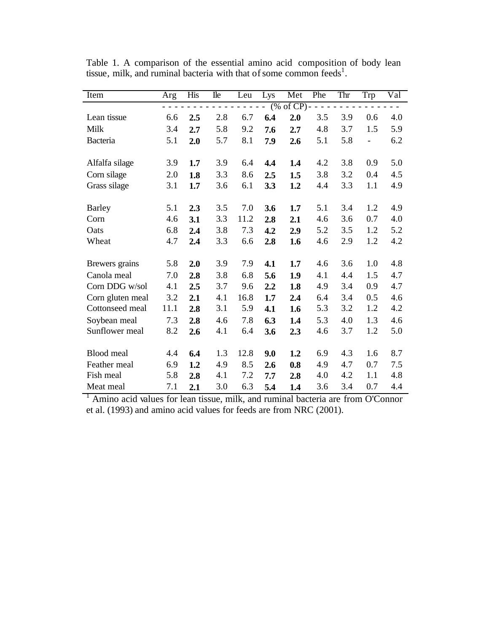| Item             | Arg            | His | <b>Ile</b> | Leu  | Lys | Met | Phe | Thr | <b>Trp</b>               | Val |
|------------------|----------------|-----|------------|------|-----|-----|-----|-----|--------------------------|-----|
|                  | $(\%$ of CP) - |     |            |      |     |     |     |     |                          |     |
| Lean tissue      | 6.6            | 2.5 | 2.8        | 6.7  | 6.4 | 2.0 | 3.5 | 3.9 | 0.6                      | 4.0 |
| Milk             | 3.4            | 2.7 | 5.8        | 9.2  | 7.6 | 2.7 | 4.8 | 3.7 | 1.5                      | 5.9 |
| Bacteria         | 5.1            | 2.0 | 5.7        | 8.1  | 7.9 | 2.6 | 5.1 | 5.8 | $\overline{\phantom{0}}$ | 6.2 |
|                  |                |     |            |      |     |     |     |     |                          |     |
| Alfalfa silage   | 3.9            | 1.7 | 3.9        | 6.4  | 4.4 | 1.4 | 4.2 | 3.8 | 0.9                      | 5.0 |
| Corn silage      | 2.0            | 1.8 | 3.3        | 8.6  | 2.5 | 1.5 | 3.8 | 3.2 | 0.4                      | 4.5 |
| Grass silage     | 3.1            | 1.7 | 3.6        | 6.1  | 3.3 | 1.2 | 4.4 | 3.3 | 1.1                      | 4.9 |
|                  |                |     |            |      |     |     |     |     |                          |     |
| <b>Barley</b>    | 5.1            | 2.3 | 3.5        | 7.0  | 3.6 | 1.7 | 5.1 | 3.4 | 1.2                      | 4.9 |
| Corn             | 4.6            | 3.1 | 3.3        | 11.2 | 2.8 | 2.1 | 4.6 | 3.6 | 0.7                      | 4.0 |
| Oats             | 6.8            | 2.4 | 3.8        | 7.3  | 4.2 | 2.9 | 5.2 | 3.5 | 1.2                      | 5.2 |
| Wheat            | 4.7            | 2.4 | 3.3        | 6.6  | 2.8 | 1.6 | 4.6 | 2.9 | 1.2                      | 4.2 |
|                  |                |     |            |      |     |     |     |     |                          |     |
| Brewers grains   | 5.8            | 2.0 | 3.9        | 7.9  | 4.1 | 1.7 | 4.6 | 3.6 | 1.0                      | 4.8 |
| Canola meal      | 7.0            | 2.8 | 3.8        | 6.8  | 5.6 | 1.9 | 4.1 | 4.4 | 1.5                      | 4.7 |
| Corn DDG w/sol   | 4.1            | 2.5 | 3.7        | 9.6  | 2.2 | 1.8 | 4.9 | 3.4 | 0.9                      | 4.7 |
| Corn gluten meal | 3.2            | 2.1 | 4.1        | 16.8 | 1.7 | 2.4 | 6.4 | 3.4 | 0.5                      | 4.6 |
| Cottonseed meal  | 11.1           | 2.8 | 3.1        | 5.9  | 4.1 | 1.6 | 5.3 | 3.2 | 1.2                      | 4.2 |
| Soybean meal     | 7.3            | 2.8 | 4.6        | 7.8  | 6.3 | 1.4 | 5.3 | 4.0 | 1.3                      | 4.6 |
| Sunflower meal   | 8.2            | 2.6 | 4.1        | 6.4  | 3.6 | 2.3 | 4.6 | 3.7 | 1.2                      | 5.0 |
|                  |                |     |            |      |     |     |     |     |                          |     |
| Blood meal       | 4.4            | 6.4 | 1.3        | 12.8 | 9.0 | 1.2 | 6.9 | 4.3 | 1.6                      | 8.7 |
| Feather meal     | 6.9            | 1.2 | 4.9        | 8.5  | 2.6 | 0.8 | 4.9 | 4.7 | 0.7                      | 7.5 |
| Fish meal        | 5.8            | 2.8 | 4.1        | 7.2  | 7.7 | 2.8 | 4.0 | 4.2 | 1.1                      | 4.8 |
| Meat meal        | 7.1            | 2.1 | 3.0        | 6.3  | 5.4 | 1.4 | 3.6 | 3.4 | 0.7                      | 4.4 |

Table 1. A comparison of the essential amino acid composition of body lean tissue, milk, and ruminal bacteria with that of some common feeds<sup>1</sup>.

<sup>1</sup> Amino acid values for lean tissue, milk, and ruminal bacteria are from O'Connor et al. (1993) and amino acid values for feeds are from NRC (2001).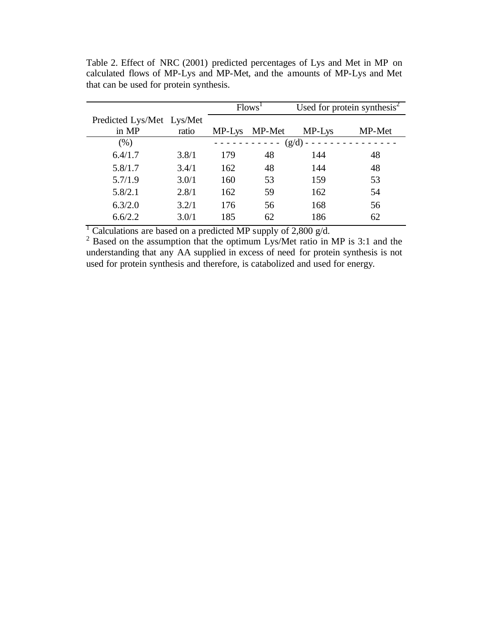|                           |       |        | Flows <sup>T</sup> | Used for protein synthesis <sup>2</sup> |        |  |
|---------------------------|-------|--------|--------------------|-----------------------------------------|--------|--|
| Predicted Lys/Met Lys/Met |       |        |                    |                                         |        |  |
| in MP                     | ratio | MP-Lys | MP-Met             | MP-Lys                                  | MP-Met |  |
| (%)                       |       |        |                    | (g/d)                                   |        |  |
| 6.4/1.7                   | 3.8/1 | 179    | 48                 | 144                                     | 48     |  |
| 5.8/1.7                   | 3.4/1 | 162    | 48                 | 144                                     | 48     |  |
| 5.7/1.9                   | 3.0/1 | 160    | 53                 | 159                                     | 53     |  |
| 5.8/2.1                   | 2.8/1 | 162    | 59                 | 162                                     | 54     |  |
| 6.3/2.0                   | 3.2/1 | 176    | 56                 | 168                                     | 56     |  |
| 6.6/2.2                   | 3.0/1 | 185    | 62                 | 186                                     | 62     |  |

Table 2. Effect of NRC (2001) predicted percentages of Lys and Met in MP on calculated flows of MP-Lys and MP-Met, and the amounts of MP-Lys and Met that can be used for protein synthesis.

<sup>1</sup> Calculations are based on a predicted MP supply of 2,800 g/d.<br><sup>2</sup> Based on the assumption that the optimum Lys/Met ratio in MP is 3:1 and the understanding that any AA supplied in excess of need for protein synthesis is not used for protein synthesis and therefore, is catabolized and used for energy.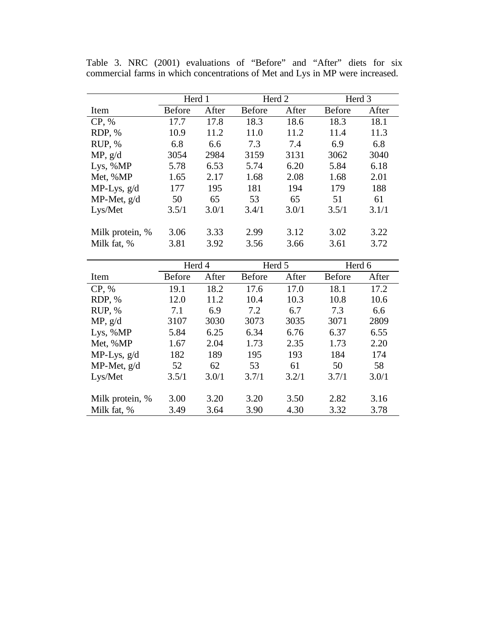|                  | Herd 1        |       | Herd 2        |       | Herd 3        |       |  |
|------------------|---------------|-------|---------------|-------|---------------|-------|--|
| Item             | <b>Before</b> | After | Before        | After | <b>Before</b> | After |  |
| CP, %            | 17.7          | 17.8  | 18.3          | 18.6  | 18.3          | 18.1  |  |
| RDP, %           | 10.9          | 11.2  | 11.0          | 11.2  | 11.4          | 11.3  |  |
| RUP, %           | 6.8           | 6.6   | 7.3           | 7.4   | 6.9           | 6.8   |  |
| MP, g/d          | 3054          | 2984  | 3159          | 3131  | 3062          | 3040  |  |
| Lys, % $MP$      | 5.78          | 6.53  | 5.74          | 6.20  | 5.84          | 6.18  |  |
| Met, %MP         | 1.65          | 2.17  | 1.68          | 2.08  | 1.68          | 2.01  |  |
| $MP-Lys$ , $g/d$ | 177           | 195   | 181           | 194   | 179           | 188   |  |
| MP-Met, g/d      | 50            | 65    | 53            | 65    | 51            | 61    |  |
| Lys/Met          | 3.5/1         | 3.0/1 | 3.4/1         | 3.0/1 | 3.5/1         | 3.1/1 |  |
|                  |               |       |               |       |               |       |  |
| Milk protein, %  | 3.06          | 3.33  | 2.99          | 3.12  | 3.02          | 3.22  |  |
| Milk fat, %      | 3.81          | 3.92  | 3.56          | 3.66  | 3.61          | 3.72  |  |
|                  |               |       |               |       |               |       |  |
|                  | Herd 4        |       | Herd 5        |       | Herd 6        |       |  |
| Item             | Before        | After | <b>Before</b> | After | <b>Before</b> | After |  |
| CP, %            | 19.1          | 18.2  | 17.6          | 17.0  | 18.1          | 17.2  |  |
| RDP, %           | 12.0          | 11.2  | 10.4          | 10.3  | 10.8          | 10.6  |  |
| RUP, %           | 7.1           | 6.9   | 7.2           | 6.7   | 7.3           | 6.6   |  |
| MP, g/d          | 3107          | 3030  | 3073          | 3035  | 3071          | 2809  |  |
| Lys, %MP         | 5.84          | 6.25  | 6.34          | 6.76  | 6.37          | 6.55  |  |
| Met, %MP         | 1.67          | 2.04  | 1.73          | 2.35  | 1.73          | 2.20  |  |
| MP-Lys, g/d      | 182           | 189   | 195           | 193   | 184           | 174   |  |
| MP-Met, g/d      | 52            | 62    | 53            | 61    | 50            | 58    |  |
| Lys/Met          | 3.5/1         | 3.0/1 | 3.7/1         | 3.2/1 | 3.7/1         | 3.0/1 |  |

Milk protein, % 3.00 3.20 3.20 3.50 2.82 3.16<br>Milk fat, % 3.49 3.64 3.90 4.30 3.32 3.78 Milk fat, % 3.49 3.64 3.90 4.30 3.32 3.78

Table 3. NRC (2001) evaluations of "Before" and "After" diets for six commercial farms in which concentrations of Met and Lys in MP were increased.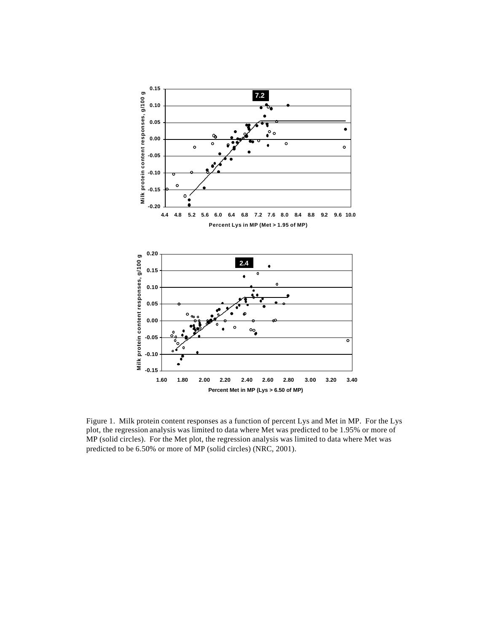

Figure 1. Milk protein content responses as a function of percent Lys and Met in MP. For the Lys plot, the regression analysis was limited to data where Met was predicted to be 1.95% or more of MP (solid circles). For the Met plot, the regression analysis was limited to data where Met was predicted to be 6.50% or more of MP (solid circles) (NRC, 2001).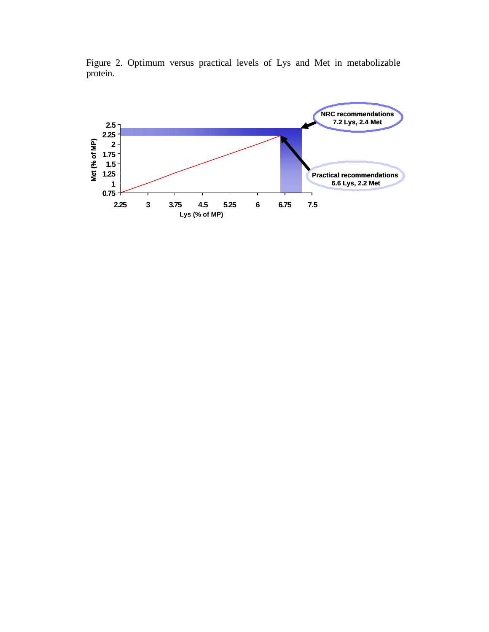

Figure 2. Optimum versus practical levels of Lys and Met in metabolizable protein.